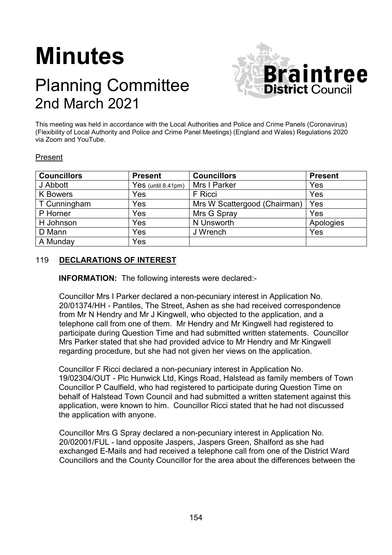# **Minutes**

# Planning Committee 2nd March 2021



This meeting was held in accordance with the Local Authorities and Police and Crime Panels (Coronavirus) (Flexibility of Local Authority and Police and Crime Panel Meetings) (England and Wales) Regulations 2020 via Zoom and YouTube.

# Present

| <b>Councillors</b> | <b>Present</b>       | <b>Councillors</b>           | <b>Present</b> |
|--------------------|----------------------|------------------------------|----------------|
| J Abbott           | $Yes$ (until 8.41pm) | Mrs I Parker                 | Yes            |
| <b>K</b> Bowers    | Yes                  | F Ricci                      | Yes            |
| T Cunningham       | Yes                  | Mrs W Scattergood (Chairman) | Yes            |
| P Horner           | Yes                  | Mrs G Spray                  | Yes            |
| H Johnson          | Yes                  | N Unsworth                   | Apologies      |
| D Mann             | Yes                  | J Wrench                     | Yes            |
| A Munday           | Yes                  |                              |                |

# 119 **DECLARATIONS OF INTEREST**

**INFORMATION:** The following interests were declared:-

Councillor Mrs I Parker declared a non-pecuniary interest in Application No. 20/01374/HH - Pantiles, The Street, Ashen as she had received correspondence from Mr N Hendry and Mr J Kingwell, who objected to the application, and a telephone call from one of them. Mr Hendry and Mr Kingwell had registered to participate during Question Time and had submitted written statements. Councillor Mrs Parker stated that she had provided advice to Mr Hendry and Mr Kingwell regarding procedure, but she had not given her views on the application.

Councillor F Ricci declared a non-pecuniary interest in Application No. 19/02304/OUT - Plc Hunwick Ltd, Kings Road, Halstead as family members of Town Councillor P Caulfield, who had registered to participate during Question Time on behalf of Halstead Town Council and had submitted a written statement against this application, were known to him. Councillor Ricci stated that he had not discussed the application with anyone.

Councillor Mrs G Spray declared a non-pecuniary interest in Application No. 20/02001/FUL - land opposite Jaspers, Jaspers Green, Shalford as she had exchanged E-Mails and had received a telephone call from one of the District Ward Councillors and the County Councillor for the area about the differences between the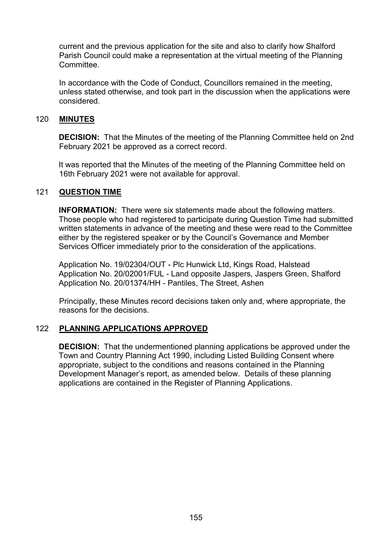current and the previous application for the site and also to clarify how Shalford Parish Council could make a representation at the virtual meeting of the Planning **Committee** 

In accordance with the Code of Conduct, Councillors remained in the meeting, unless stated otherwise, and took part in the discussion when the applications were considered.

#### 120 **MINUTES**

**DECISION:** That the Minutes of the meeting of the Planning Committee held on 2nd February 2021 be approved as a correct record.

It was reported that the Minutes of the meeting of the Planning Committee held on 16th February 2021 were not available for approval.

#### 121 **QUESTION TIME**

**INFORMATION:** There were six statements made about the following matters. Those people who had registered to participate during Question Time had submitted written statements in advance of the meeting and these were read to the Committee either by the registered speaker or by the Council's Governance and Member Services Officer immediately prior to the consideration of the applications.

Application No. 19/02304/OUT - Plc Hunwick Ltd, Kings Road, Halstead Application No. 20/02001/FUL - Land opposite Jaspers, Jaspers Green, Shalford Application No. 20/01374/HH - Pantiles, The Street, Ashen

Principally, these Minutes record decisions taken only and, where appropriate, the reasons for the decisions.

## 122 **PLANNING APPLICATIONS APPROVED**

**DECISION:** That the undermentioned planning applications be approved under the Town and Country Planning Act 1990, including Listed Building Consent where appropriate, subject to the conditions and reasons contained in the Planning Development Manager's report, as amended below. Details of these planning applications are contained in the Register of Planning Applications.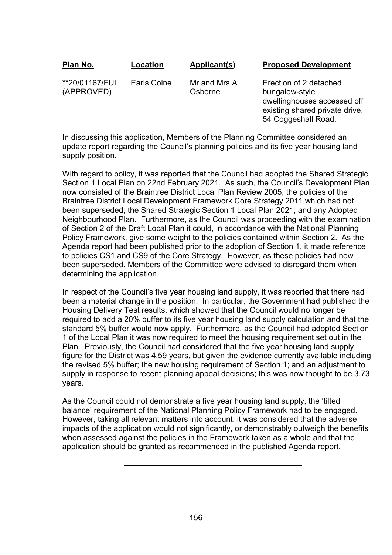| Plan No.                     | Location    | Applicant(s)            | <b>Proposed Development</b>                                                                                                      |
|------------------------------|-------------|-------------------------|----------------------------------------------------------------------------------------------------------------------------------|
| **20/01167/FUL<br>(APPROVED) | Earls Colne | Mr and Mrs A<br>Osborne | Erection of 2 detached<br>bungalow-style<br>dwellinghouses accessed off<br>existing shared private drive,<br>54 Coggeshall Road. |

In discussing this application, Members of the Planning Committee considered an update report regarding the Council's planning policies and its five year housing land supply position.

With regard to policy, it was reported that the Council had adopted the Shared Strategic Section 1 Local Plan on 22nd February 2021. As such, the Council's Development Plan now consisted of the Braintree District Local Plan Review 2005; the policies of the Braintree District Local Development Framework Core Strategy 2011 which had not been superseded; the Shared Strategic Section 1 Local Plan 2021; and any Adopted Neighbourhood Plan. Furthermore, as the Council was proceeding with the examination of Section 2 of the Draft Local Plan it could, in accordance with the National Planning Policy Framework, give some weight to the policies contained within Section 2. As the Agenda report had been published prior to the adoption of Section 1, it made reference to policies CS1 and CS9 of the Core Strategy. However, as these policies had now been superseded, Members of the Committee were advised to disregard them when determining the application.

In respect of the Council's five year housing land supply, it was reported that there had been a material change in the position. In particular, the Government had published the Housing Delivery Test results, which showed that the Council would no longer be required to add a 20% buffer to its five year housing land supply calculation and that the standard 5% buffer would now apply. Furthermore, as the Council had adopted Section 1 of the Local Plan it was now required to meet the housing requirement set out in the Plan. Previously, the Council had considered that the five year housing land supply figure for the District was 4.59 years, but given the evidence currently available including the revised 5% buffer; the new housing requirement of Section 1; and an adjustment to supply in response to recent planning appeal decisions; this was now thought to be 3.73 years.

As the Council could not demonstrate a five year housing land supply, the 'tilted balance' requirement of the National Planning Policy Framework had to be engaged. However, taking all relevant matters into account, it was considered that the adverse impacts of the application would not significantly, or demonstrably outweigh the benefits when assessed against the policies in the Framework taken as a whole and that the application should be granted as recommended in the published Agenda report.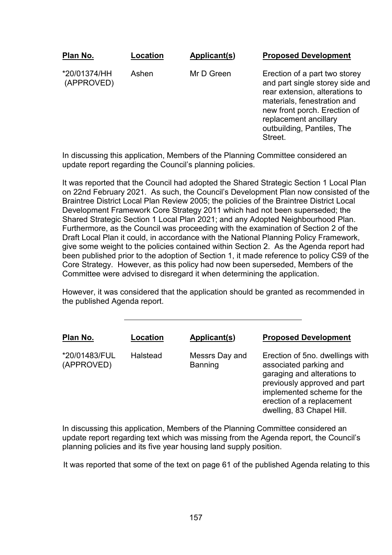| Plan No.                   | -ocation | Applicant(s) | <b>Proposed Development</b>                                                                                                                                                                                                         |
|----------------------------|----------|--------------|-------------------------------------------------------------------------------------------------------------------------------------------------------------------------------------------------------------------------------------|
| *20/01374/HH<br>(APPROVED) | Ashen    | Mr D Green   | Erection of a part two storey<br>and part single storey side and<br>rear extension, alterations to<br>materials, fenestration and<br>new front porch. Erection of<br>replacement ancillary<br>outbuilding, Pantiles, The<br>Street. |

In discussing this application, Members of the Planning Committee considered an update report regarding the Council's planning policies.

It was reported that the Council had adopted the Shared Strategic Section 1 Local Plan on 22nd February 2021. As such, the Council's Development Plan now consisted of the Braintree District Local Plan Review 2005; the policies of the Braintree District Local Development Framework Core Strategy 2011 which had not been superseded; the Shared Strategic Section 1 Local Plan 2021; and any Adopted Neighbourhood Plan. Furthermore, as the Council was proceeding with the examination of Section 2 of the Draft Local Plan it could, in accordance with the National Planning Policy Framework, give some weight to the policies contained within Section 2. As the Agenda report had been published prior to the adoption of Section 1, it made reference to policy CS9 of the Core Strategy. However, as this policy had now been superseded, Members of the Committee were advised to disregard it when determining the application.

However, it was considered that the application should be granted as recommended in the published Agenda report.

| Plan No.                    | Location | Applicant(s)              | <b>Proposed Development</b>                                                                                                                                                                                      |
|-----------------------------|----------|---------------------------|------------------------------------------------------------------------------------------------------------------------------------------------------------------------------------------------------------------|
| *20/01483/FUL<br>(APPROVED) | Halstead | Messrs Day and<br>Banning | Erection of 5no. dwellings with<br>associated parking and<br>garaging and alterations to<br>previously approved and part<br>implemented scheme for the<br>erection of a replacement<br>dwelling, 83 Chapel Hill. |

In discussing this application, Members of the Planning Committee considered an update report regarding text which was missing from the Agenda report, the Council's planning policies and its five year housing land supply position.

It was reported that some of the text on page 61 of the published Agenda relating to this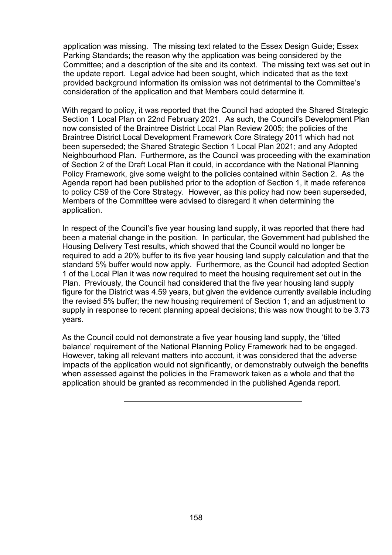application was missing. The missing text related to the Essex Design Guide; Essex Parking Standards; the reason why the application was being considered by the Committee; and a description of the site and its context. The missing text was set out in the update report. Legal advice had been sought, which indicated that as the text provided background information its omission was not detrimental to the Committee's consideration of the application and that Members could determine it.

With regard to policy, it was reported that the Council had adopted the Shared Strategic Section 1 Local Plan on 22nd February 2021. As such, the Council's Development Plan now consisted of the Braintree District Local Plan Review 2005; the policies of the Braintree District Local Development Framework Core Strategy 2011 which had not been superseded; the Shared Strategic Section 1 Local Plan 2021; and any Adopted Neighbourhood Plan. Furthermore, as the Council was proceeding with the examination of Section 2 of the Draft Local Plan it could, in accordance with the National Planning Policy Framework, give some weight to the policies contained within Section 2. As the Agenda report had been published prior to the adoption of Section 1, it made reference to policy CS9 of the Core Strategy. However, as this policy had now been superseded, Members of the Committee were advised to disregard it when determining the application.

In respect of the Council's five year housing land supply, it was reported that there had been a material change in the position. In particular, the Government had published the Housing Delivery Test results, which showed that the Council would no longer be required to add a 20% buffer to its five year housing land supply calculation and that the standard 5% buffer would now apply. Furthermore, as the Council had adopted Section 1 of the Local Plan it was now required to meet the housing requirement set out in the Plan. Previously, the Council had considered that the five year housing land supply figure for the District was 4.59 years, but given the evidence currently available including the revised 5% buffer; the new housing requirement of Section 1; and an adjustment to supply in response to recent planning appeal decisions; this was now thought to be 3.73 years.

As the Council could not demonstrate a five year housing land supply, the 'tilted balance' requirement of the National Planning Policy Framework had to be engaged. However, taking all relevant matters into account, it was considered that the adverse impacts of the application would not significantly, or demonstrably outweigh the benefits when assessed against the policies in the Framework taken as a whole and that the application should be granted as recommended in the published Agenda report.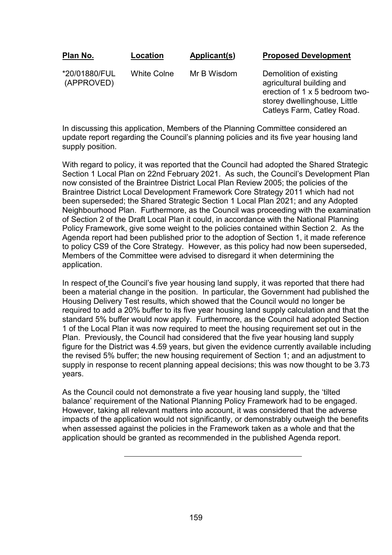| <u>Plan No.</u>             | Location    | Applicant(s) | <b>Proposed Development</b>                                                                                                                         |
|-----------------------------|-------------|--------------|-----------------------------------------------------------------------------------------------------------------------------------------------------|
| *20/01880/FUL<br>(APPROVED) | White Colne | Mr B Wisdom  | Demolition of existing<br>agricultural building and<br>erection of 1 x 5 bedroom two-<br>storey dwellinghouse, Little<br>Catleys Farm, Catley Road. |

In discussing this application, Members of the Planning Committee considered an update report regarding the Council's planning policies and its five year housing land supply position.

With regard to policy, it was reported that the Council had adopted the Shared Strategic Section 1 Local Plan on 22nd February 2021. As such, the Council's Development Plan now consisted of the Braintree District Local Plan Review 2005; the policies of the Braintree District Local Development Framework Core Strategy 2011 which had not been superseded; the Shared Strategic Section 1 Local Plan 2021; and any Adopted Neighbourhood Plan. Furthermore, as the Council was proceeding with the examination of Section 2 of the Draft Local Plan it could, in accordance with the National Planning Policy Framework, give some weight to the policies contained within Section 2. As the Agenda report had been published prior to the adoption of Section 1, it made reference to policy CS9 of the Core Strategy. However, as this policy had now been superseded, Members of the Committee were advised to disregard it when determining the application.

In respect of the Council's five year housing land supply, it was reported that there had been a material change in the position. In particular, the Government had published the Housing Delivery Test results, which showed that the Council would no longer be required to add a 20% buffer to its five year housing land supply calculation and that the standard 5% buffer would now apply. Furthermore, as the Council had adopted Section 1 of the Local Plan it was now required to meet the housing requirement set out in the Plan. Previously, the Council had considered that the five year housing land supply figure for the District was 4.59 years, but given the evidence currently available including the revised 5% buffer; the new housing requirement of Section 1; and an adjustment to supply in response to recent planning appeal decisions; this was now thought to be 3.73 years.

As the Council could not demonstrate a five year housing land supply, the 'tilted balance' requirement of the National Planning Policy Framework had to be engaged. However, taking all relevant matters into account, it was considered that the adverse impacts of the application would not significantly, or demonstrably outweigh the benefits when assessed against the policies in the Framework taken as a whole and that the application should be granted as recommended in the published Agenda report.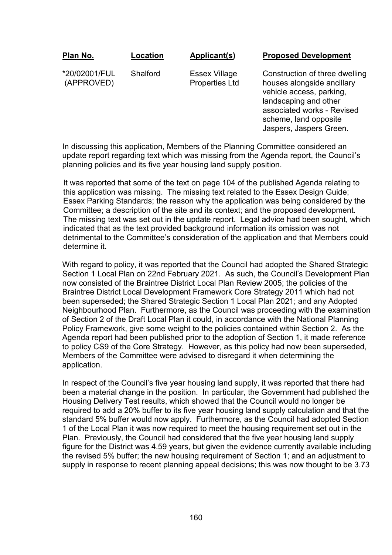| Plan No. | <b>Location</b> | Applicant(s) | <b>Proposed Development</b> |
|----------|-----------------|--------------|-----------------------------|
|          |                 |              |                             |

\*20/02001/FUL (APPROVED)

**Shalford** 

Essex Village Properties Ltd Construction of three dwelling houses alongside ancillary vehicle access, parking, landscaping and other associated works - Revised scheme, land opposite Jaspers, Jaspers Green.

In discussing this application, Members of the Planning Committee considered an update report regarding text which was missing from the Agenda report, the Council's planning policies and its five year housing land supply position.

It was reported that some of the text on page 104 of the published Agenda relating to this application was missing. The missing text related to the Essex Design Guide; Essex Parking Standards; the reason why the application was being considered by the Committee; a description of the site and its context; and the proposed development. The missing text was set out in the update report. Legal advice had been sought, which indicated that as the text provided background information its omission was not detrimental to the Committee's consideration of the application and that Members could determine it.

With regard to policy, it was reported that the Council had adopted the Shared Strategic Section 1 Local Plan on 22nd February 2021. As such, the Council's Development Plan now consisted of the Braintree District Local Plan Review 2005; the policies of the Braintree District Local Development Framework Core Strategy 2011 which had not been superseded; the Shared Strategic Section 1 Local Plan 2021; and any Adopted Neighbourhood Plan. Furthermore, as the Council was proceeding with the examination of Section 2 of the Draft Local Plan it could, in accordance with the National Planning Policy Framework, give some weight to the policies contained within Section 2. As the Agenda report had been published prior to the adoption of Section 1, it made reference to policy CS9 of the Core Strategy. However, as this policy had now been superseded, Members of the Committee were advised to disregard it when determining the application.

In respect of the Council's five year housing land supply, it was reported that there had been a material change in the position. In particular, the Government had published the Housing Delivery Test results, which showed that the Council would no longer be required to add a 20% buffer to its five year housing land supply calculation and that the standard 5% buffer would now apply. Furthermore, as the Council had adopted Section 1 of the Local Plan it was now required to meet the housing requirement set out in the Plan. Previously, the Council had considered that the five year housing land supply figure for the District was 4.59 years, but given the evidence currently available including the revised 5% buffer; the new housing requirement of Section 1; and an adjustment to supply in response to recent planning appeal decisions; this was now thought to be 3.73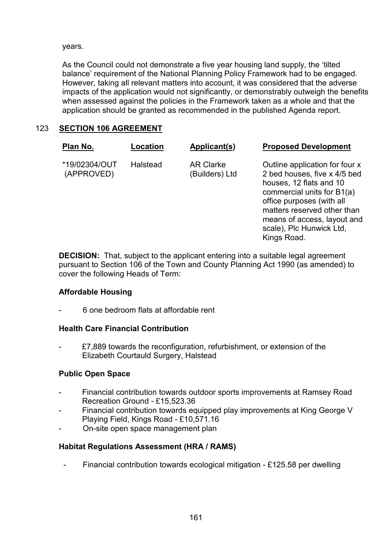years.

As the Council could not demonstrate a five year housing land supply, the 'tilted balance' requirement of the National Planning Policy Framework had to be engaged. However, taking all relevant matters into account, it was considered that the adverse impacts of the application would not significantly, or demonstrably outweigh the benefits when assessed against the policies in the Framework taken as a whole and that the application should be granted as recommended in the published Agenda report.

# 123 **SECTION 106 AGREEMENT**

| Plan No.                    | Location        | Applicant(s)                       | <b>Proposed Development</b>                                                                                                                                                                                        |
|-----------------------------|-----------------|------------------------------------|--------------------------------------------------------------------------------------------------------------------------------------------------------------------------------------------------------------------|
| *19/02304/OUT<br>(APPROVED) | <b>Halstead</b> | <b>AR Clarke</b><br>(Builders) Ltd | Outline application for four x<br>2 bed houses, five x 4/5 bed<br>houses, 12 flats and 10<br>commercial units for B1(a)<br>office purposes (with all<br>matters reserved other than<br>means of access, layout and |

scale), Plc Hunwick Ltd,

Kings Road.

**DECISION:** That, subject to the applicant entering into a suitable legal agreement pursuant to Section 106 of the Town and County Planning Act 1990 (as amended) to cover the following Heads of Term:

# **Affordable Housing**

- 6 one bedroom flats at affordable rent

# **Health Care Financial Contribution**

- £7,889 towards the reconfiguration, refurbishment, or extension of the Elizabeth Courtauld Surgery, Halstead

## **Public Open Space**

- Financial contribution towards outdoor sports improvements at Ramsey Road Recreation Ground - £15,523.36
- Financial contribution towards equipped play improvements at King George V Playing Field, Kings Road - £10,571.16
- On-site open space management plan

## **Habitat Regulations Assessment (HRA / RAMS)**

- Financial contribution towards ecological mitigation - £125.58 per dwelling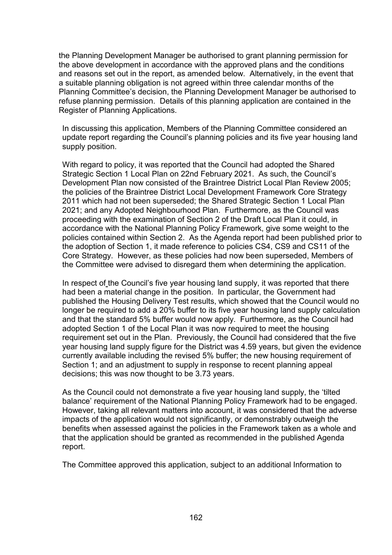the Planning Development Manager be authorised to grant planning permission for the above development in accordance with the approved plans and the conditions and reasons set out in the report, as amended below. Alternatively, in the event that a suitable planning obligation is not agreed within three calendar months of the Planning Committee's decision, the Planning Development Manager be authorised to refuse planning permission. Details of this planning application are contained in the Register of Planning Applications.

In discussing this application, Members of the Planning Committee considered an update report regarding the Council's planning policies and its five year housing land supply position.

With regard to policy, it was reported that the Council had adopted the Shared Strategic Section 1 Local Plan on 22nd February 2021. As such, the Council's Development Plan now consisted of the Braintree District Local Plan Review 2005; the policies of the Braintree District Local Development Framework Core Strategy 2011 which had not been superseded; the Shared Strategic Section 1 Local Plan 2021; and any Adopted Neighbourhood Plan. Furthermore, as the Council was proceeding with the examination of Section 2 of the Draft Local Plan it could, in accordance with the National Planning Policy Framework, give some weight to the policies contained within Section 2. As the Agenda report had been published prior to the adoption of Section 1, it made reference to policies CS4, CS9 and CS11 of the Core Strategy. However, as these policies had now been superseded, Members of the Committee were advised to disregard them when determining the application.

In respect of the Council's five year housing land supply, it was reported that there had been a material change in the position. In particular, the Government had published the Housing Delivery Test results, which showed that the Council would no longer be required to add a 20% buffer to its five year housing land supply calculation and that the standard 5% buffer would now apply. Furthermore, as the Council had adopted Section 1 of the Local Plan it was now required to meet the housing requirement set out in the Plan. Previously, the Council had considered that the five year housing land supply figure for the District was 4.59 years, but given the evidence currently available including the revised 5% buffer; the new housing requirement of Section 1; and an adjustment to supply in response to recent planning appeal decisions; this was now thought to be 3.73 years.

As the Council could not demonstrate a five year housing land supply, the 'tilted balance' requirement of the National Planning Policy Framework had to be engaged. However, taking all relevant matters into account, it was considered that the adverse impacts of the application would not significantly, or demonstrably outweigh the benefits when assessed against the policies in the Framework taken as a whole and that the application should be granted as recommended in the published Agenda report.

The Committee approved this application, subject to an additional Information to